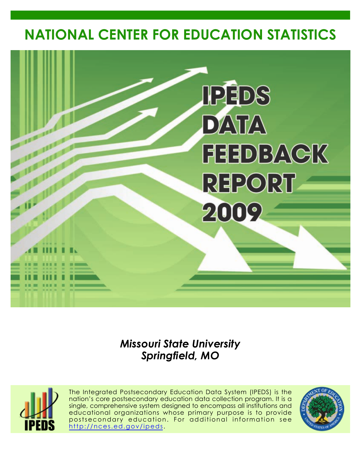# **NATIONAL CENTER FOR EDUCATION STATISTICS**



## *Missouri State University Springfield, MO*



The Integrated Postsecondary Education Data System (IPEDS) is the nation's core postsecondary education data collection program. It is a single, comprehensive system designed to encompass all institutions and educational organizations whose primary purpose is to provide postsecondary education. For additional information see <http://nces.ed.gov/ipeds>.

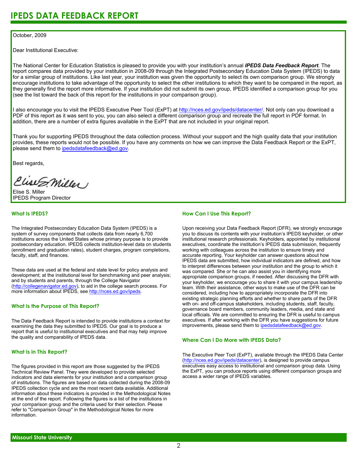#### October, 2009

Dear Institutional Executive:

The National Center for Education Statistics is pleased to provide you with your institution's annual *IPEDS Data Feedback Report*. The report compares data provided by your institution in 2008-09 through the Integrated Postsecondary Education Data System (IPEDS) to data for a similar group of institutions. Like last year, your institution was given the opportunity to select its own comparison group. We strongly encourage institutions to take advantage of the opportunity to select the other institutions to which they want to be compared in the report, as they generally find the report more informative. If your institution did not submit its own group, IPEDS identified a comparison group for you (see the list toward the back of this report for the institutions in your comparison group).

I also encourage you to visit the IPEDS Executive Peer Tool (ExPT) at <http://nces.ed.gov/ipeds/datacenter/>. Not only can you download a PDF of this report as it was sent to you, you can also select a different comparison group and recreate the full report in PDF format. In addition, there are a number of extra figures available in the ExPT that are not included in your original report.

Thank you for supporting IPEDS throughout the data collection process. Without your support and the high quality data that your institution provides, these reports would not be possible. If you have any comments on how we can improve the Data Feedback Report or the ExPT, please send them to ipedsdatafeedback@ed.gov.

Best regards,

Clist S. Miller

Elise S. Miller IPEDS Program Director

#### **What Is IPEDS?**

The Integrated Postsecondary Education Data System (IPEDS) is a system of survey components that collects data from nearly 6,700 institutions across the United States whose primary purpose is to provide postsecondary education. IPEDS collects institution-level data on students (enrollment and graduation rates), student charges, program completions, faculty, staff, and finances.

These data are used at the federal and state level for policy analysis and development; at the institutional level for benchmarking and peer analysis; and by students and parents, through the College Navigator [\(http://collegenavigator.ed.gov\)](http://collegenavigator.ed.gov), to aid in the college search process. For more information about IPEDS, see [http://nces.ed.gov/ipeds.](http://nces.ed.gov/ipeds)

#### **What Is the Purpose of This Report?**

The Data Feedback Report is intended to provide institutions a context for examining the data they submitted to IPEDS. Our goal is to produce a report that is useful to institutional executives and that may help improve the quality and comparability of IPEDS data.

#### **What Is in This Report?**

The figures provided in this report are those suggested by the IPEDS Technical Review Panel. They were developed to provide selected indicators and data elements for your institution and a comparison group of institutions. The figures are based on data collected during the 2008-09 IPEDS collection cycle and are the most recent data available. Additional information about these indicators is provided in the Methodological Notes at the end of the report. Following the figures is a list of the institutions in your comparison group and the criteria used for their selection. Please refer to "Comparison Group" in the Methodological Notes for more information.

#### **How Can I Use This Report?**

Upon receiving your Data Feedback Report (DFR), we strongly encourage you to discuss its contents with your institution's IPEDS keyholder, or other institutional research professionals. Keyholders, appointed by institutional executives, coordinate the institution's IPEDS data submission, frequently working with colleagues across the institution to ensure timely and accurate reporting. Your keyholder can answer questions about how IPEDS data are submitted, how individual indicators are defined, and how to interpret differences between your institution and the group to which it was compared. She or he can also assist you in identifying more appropriate comparison groups, if needed. After discussing the DFR with your keyholder, we encourage you to share it with your campus leadership team. With their assistance, other ways to make use of the DFR can be considered, including how to appropriately incorporate the DFR into existing strategic planning efforts and whether to share parts of the DFR with on- and off-campus stakeholders, including students, staff, faculty, governance board members, community leaders, media, and state and local officials. We are committed to ensuring the DFR is useful to campus executives. If after working with the DFR you have suggestions for future improvements, please send them to ipedsdatafeedback@ed.gov.

#### **Where Can I Do More with IPEDS Data?**

The Executive Peer Tool (ExPT), available through the IPEDS Data Center [\(http://nces.ed.gov/ipeds/datacenter](http://nces.ed.gov/ipeds/datacenter)), is designed to provide campus executives easy access to institutional and comparison group data. Using the ExPT, you can produce reports using different comparison groups and access a wider range of IPEDS variables.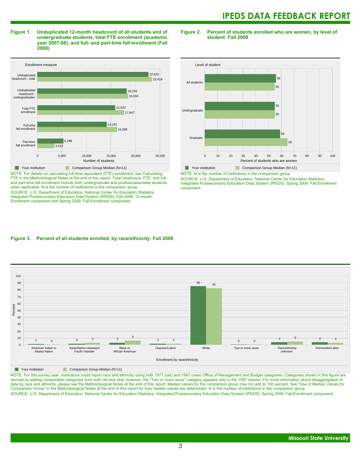**Figure 1. Unduplicated 12-month headcount of all students and of undergraduate students, total FTE enrollment (academic year 2007-08), and full- and part-time fall enrollment (Fall 2008)**



NOTE: For details on calculating full-time equivalent (FTE) enrollment, see Calculating FTE in the Methodological Notes at the end of this report. Total headcount, FTE, and fulland part-time fall enrollment include both undergraduate and postbaccalaureate students, when applicable. N is the number of institutions in the comparison group. SOURCE: U.S. Department of Education, National Center for Education Statistics, Integrated Postsecondary Education Data System (IPEDS): Fall 2008, 12-month Enrollment component and Spring 2009, Fall Enrollment component.

**Figure 2. Percent of students enrolled who are women, by level of student: Fall 2008**



NOTE: N is the number of institutions in the comparison group.

SOURCE: U.S. Department of Education, National Center for Education Statistics, Integrated Postsecondary Education Data System (IPEDS): Spring 2009, Fall Enrollment component.

#### **Figure 3. Percent of all students enrolled, by race/ethnicity: Fall 2008**



**Nour institution** Comparison Group Median (N=11)

NOTE: For this survey year, institutions could report race and ethnicity using both 1977 (old) and 1997 (new) Office of Management and Budget categories. Categories shown in this figure are derived by adding comparable categories from both old and new; however, the "Two or more races" category appears only in the 1997 version. For more information about disaggregation of data by race and ethnicity, please see the Methodological Notes at the end of this report. Median values for the comparison group may not add to 100 percent. See "Use of Median Values for Comparison Group" in the Methodological Notes at the end of this report for how median values are determined. N is the number of institutions in the comparison group. SOURCE: U.S. Department of Education, National Center for Education Statistics, Integrated Postsecondary Education Data System (IPEDS): Spring 2009, Fall Enrollment component.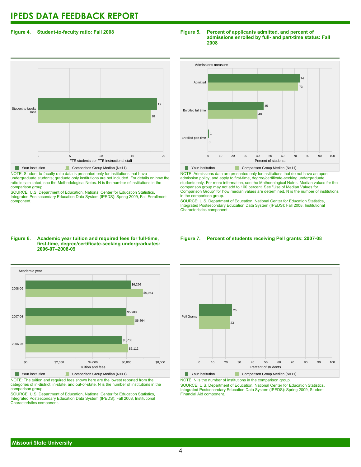#### **Figure 4. Student-to-faculty ratio: Fall 2008**

## 0 5 10 15 20 FTE students per FTE instructional staff Student-to-faculty ratio 18 19 **Your institution** Comparison Group Median (N=11)

NOTE: Student-to-faculty ratio data is presented only for institutions that have undergraduate students; graduate only institutions are not included. For details on how the ratio is calculated, see the Methodological Notes. N is the number of institutions in the comparison group.

SOURCE: U.S. Department of Education, National Center for Education Statistics, Integrated Postsecondary Education Data System (IPEDS): Spring 2009, Fall Enrollment component.

#### **Figure 5. Percent of applicants admitted, and percent of admissions enrolled by full- and part-time status: Fall 2008**



NOTE: Admissions data are presented only for institutions that do not have an open admission policy, and apply to first-time, degree/certificate-seeking undergraduate students only. For more information, see the Methodological Notes. Median values for the comparison group may not add to 100 percent. See "Use of Median Values for Comparison Group" for how median values are determined. N is the number of institutions in the comparison group.

SOURCE: U.S. Department of Education, National Center for Education Statistics, Integrated Postsecondary Education Data System (IPEDS): Fall 2008, Institutional Characteristics component.

#### **Figure 6. Academic year tuition and required fees for full-time, first-time, degree/certificate-seeking undergraduates: 2006-07–2008-09**



NOTE: The tuition and required fees shown here are the lowest reported from the categories of in-district, in-state, and out-of-state. N is the number of institutions in the comparison group.

SOURCE: U.S. Department of Education, National Center for Education Statistics, Integrated Postsecondary Education Data System (IPEDS): Fall 2008, Institutional Characteristics component.

#### **Figure 7. Percent of students receiving Pell grants: 2007-08**



**Your institution** Comparison Group Median (N=11) NOTE: N is the number of institutions in the comparison group.

SOURCE: U.S. Department of Education, National Center for Education Statistics, Integrated Postsecondary Education Data System (IPEDS): Spring 2009, Student Financial Aid component.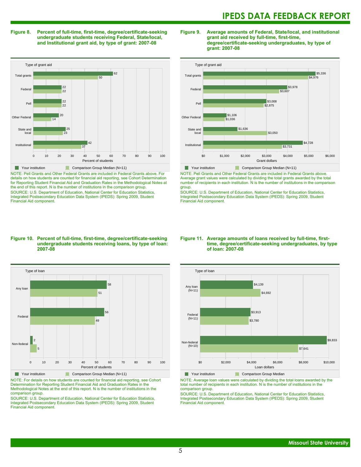#### **Figure 8. Percent of full-time, first-time, degree/certificate-seeking undergraduate students receiving Federal, State/local, and Institutional grant aid, by type of grant: 2007-08**

Type of grant aid 0 10 20 30 40 50 60 70 80 90 100 Percent of students Institutional State and local Other Federal Pell Federal Total grants 37  $\overline{A}$ 23 25 14 20  $22$ 22  $22$ 22 50 62 **Your institution** Comparison Group Median (N=11)

NOTE: Pell Grants and Other Federal Grants are included in Federal Grants above. For details on how students are counted for financial aid reporting, see Cohort Determination for Reporting Student Financial Aid and Graduation Rates in the Methodological Notes at the end of this report. N is the number of institutions in the comparison group. SOURCE: U.S. Department of Education, National Center for Education Statistics, Integrated Postsecondary Education Data System (IPEDS): Spring 2009, Student Financial Aid component.

#### **Figure 9. Average amounts of Federal, State/local, and institutional grant aid received by full-time, first-time, degree/certificate-seeking undergraduates, by type of grant: 2007-08**



NOTE: Pell Grants and Other Federal Grants are included in Federal Grants above. Average grant values were calculated by dividing the total grants awarded by the total number of recipients in each institution. N is the number of institutions in the comparison group.

SOURCE: U.S. Department of Education, National Center for Education Statistics, Integrated Postsecondary Education Data System (IPEDS): Spring 2009, Student Financial Aid component.

#### **Figure 10. Percent of full-time, first-time, degree/certificate-seeking undergraduate students receiving loans, by type of loan: 2007-08**



NOTE: For details on how students are counted for financial aid reporting, see Cohort Determination for Reporting Student Financial Aid and Graduation Rates in the Methodological Notes at the end of this report. N is the number of institutions in the comparison group.

SOURCE: U.S. Department of Education, National Center for Education Statistics, Integrated Postsecondary Education Data System (IPEDS): Spring 2009, Student Financial Aid component.

#### **Figure 11. Average amounts of loans received by full-time, firsttime, degree/certificate-seeking undergraduates, by type of loan: 2007-08**



NOTE: Average loan values were calculated by dividing the total loans awarded by the total number of recipients in each institution. N is the number of institutions in the comparison group.

SOURCE: U.S. Department of Education, National Center for Education Statistics, Integrated Postsecondary Education Data System (IPEDS): Spring 2009, Student Financial Aid component.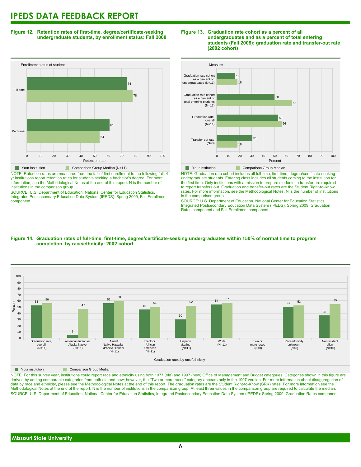**Figure 12. Retention rates of first-time, degree/certificate-seeking undergraduate students, by enrollment status: Fall 2008**



NOTE: Retention rates are measured from the fall of first enrollment to the following fall. 4 yr institutions report retention rates for students seeking a bachelor's degree. For more information, see the Methodological Notes at the end of this report. N is the number of institutions in the comparison group.

SOURCE: U.S. Department of Education, National Center for Education Statistics, Integrated Postsecondary Education Data System (IPEDS): Spring 2009, Fall Enrollment component.





NOTE: Graduation rate cohort includes all full-time, first-time, degree/certificate-seeking undergraduate students. Entering class includes all students coming to the institution for the first time. Only institutions with a mission to prepare students to transfer are required to report transfers out. Graduation and transfer-out rates are the Student Right-to-Know rates. For more information, see the Methodological Notes. N is the number of institutions in the comparison group.

SOURCE: U.S. Department of Education, National Center for Education Statistics, Integrated Postsecondary Education Data System (IPEDS): Spring 2009, Graduation Rates component and Fall Enrollment component.





**The Comparison Group Median** 

NOTE: For this survey year, institutions could report race and ethnicity using both 1977 (old) and 1997 (new) Office of Management and Budget categories. Categories shown in this figure are derived by adding comparable categories from both old and new; however, the "Two or more races" category appears only in the 1997 version. For more information about disaggregation of data by race and ethnicity, please see the Methodological Notes at the end of this report. The graduation rates are the Student Right-to-Know (SRK) rates. For more information see the Methodological Notes at the end of the report. N is the number of institutions in the comparison group. At least three values in the comparison group are required to calculate the median. SOURCE: U.S. Department of Education, National Center for Education Statistics, Integrated Postsecondary Education Data System (IPEDS): Spring 2009, Graduation Rates component.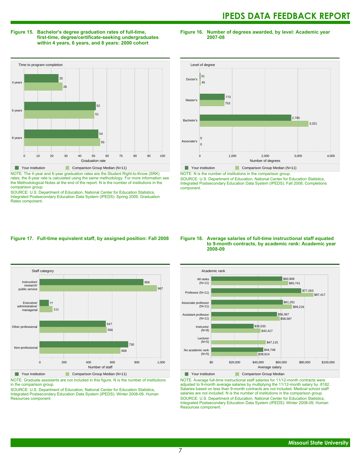#### **Figure 15. Bachelor's degree graduation rates of full-time, first-time, degree/certificate-seeking undergraduates within 4 years, 6 years, and 8 years: 2000 cohort**

**Figure 16. Number of degrees awarded, by level: Academic year 2007-08**



NOTE: The 4-year and 6-year graduation rates are the Student Right-to-Know (SRK) rates; the 8-year rate is calculated using the same methodology. For more information see the Methodological Notes at the end of the report. N is the number of institutions in the comparison group.

SOURCE: U.S. Department of Education, National Center for Education Statistics, Integrated Postsecondary Education Data System (IPEDS): Spring 2009, Graduation Rates component.



NOTE: N is the number of institutions in the comparison group.

SOURCE: U.S. Department of Education, National Center for Education Statistics, Integrated Postsecondary Education Data System (IPEDS): Fall 2008, Completions component.

#### **Figure 17. Full-time equivalent staff, by assigned position: Fall 2008**



NOTE: Graduate assistants are not included in this figure. N is the number of institutions

in the comparison group. SOURCE: U.S. Department of Education, National Center for Education Statistics, Integrated Postsecondary Education Data System (IPEDS): Winter 2008-09, Human Resources component.

#### **Figure 18. Average salaries of full-time instructional staff equated to 9-month contracts, by academic rank: Academic year 2008-09**



NOTE: Average full-time instructional staff salaries for 11/12-month contracts were adjusted to 9-month average salaries by multiplying the 11/12-month salary by .8182. Salaries based on less than 9-month contracts are not included. Medical school staff salaries are not included. N is the number of institutions in the comparison group. SOURCE: U.S. Department of Education, National Center for Education Statistics, Integrated Postsecondary Education Data System (IPEDS): Winter 2008-09, Human Resources component.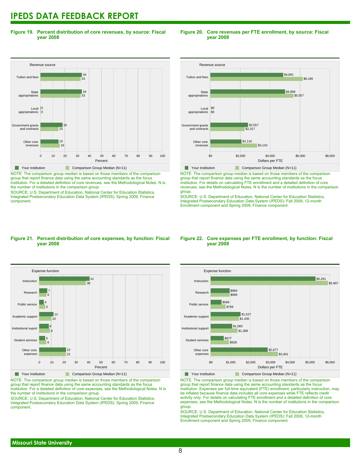**Figure 19. Percent distribution of core revenues, by source: Fiscal year 2008**

#### Revenue source 0 10 20 30 40 50 60 70 80 90 100 Percent Other core revenues Government grants<br>and contracts ...........<br>and cont Local appropriations **State** appropriations Tuition and fees 16 15 15 18 0 0  $\overline{33}$ 34 33  $\vert$  34 **Your institution** Comparison Group Median (N=11)

NOTE: The comparison group median is based on those members of the comparison group that report finance data using the same accounting standards as the focus institution. For a detailed definition of core revenues, see the Methodological Notes. N is the number of institutions in the comparison group.

SOURCE: U.S. Department of Education, National Center for Education Statistics, Integrated Postsecondary Education Data System (IPEDS): Spring 2009, Finance component.

### **Figure 20. Core revenues per FTE enrollment, by source: Fiscal year 2008**



NOTE: The comparison group median is based on those members of the comparison group that report finance data using the same accounting standards as the focus institution. For details on calculating FTE enrollment and a detailed definition of core revenues, see the Methodological Notes. N is the number of institutions in the comparison group.

SOURCE: U.S. Department of Education, National Center for Education Statistics, Integrated Postsecondary Education Data System (IPEDS): Fall 2008, 12-month Enrollment component and Spring 2009, Finance component.

#### **Figure 21. Percent distribution of core expenses, by function: Fiscal year 2008**



NOTE: The comparison group median is based on those members of the comparison group that report finance data using the same accounting standards as the focus institution. For a detailed definition of core expenses, see the Methodological Notes. N is the number of institutions in the comparison group.

SOURCE: U.S. Department of Education, National Center for Education Statistics, Integrated Postsecondary Education Data System (IPEDS): Spring 2009, Finance component.

#### **Figure 22. Core expenses per FTE enrollment, by function: Fiscal year 2008**



NOTE: The comparison group median is based on those members of the comparison group that report finance data using the same accounting standards as the focus institution. Expenses per full-time equivalent (FTE) enrollment, particularly instruction, may be inflated because finance data includes all core expenses while FTE reflects credit activity only. For details on calculating FTE enrollment and a detailed definition of core expenses, see the Methodological Notes. N is the number of institutions in the comparison group.

SOURCE: U.S. Department of Education, National Center for Education Statistics, Integrated Postsecondary Education Data System (IPEDS): Fall 2008, 12-month Enrollment component and Spring 2009, Finance component.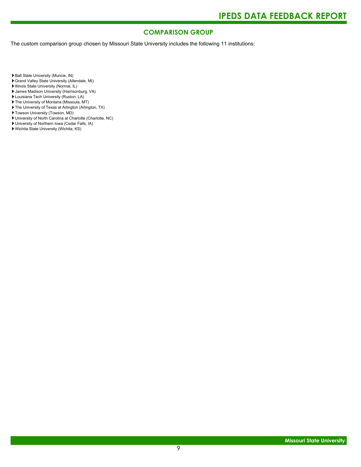### **COMPARISON GROUP**

The custom comparison group chosen by Missouri State University includes the following 11 institutions:

Ball State University (Muncie, IN)

- Grand Valley State University (Allendale, MI)
- Illinois State University (Normal, IL)
- James Madison University (Harrisonburg, VA)
- Louisiana Tech University (Ruston, LA)
- The University of Montana (Missoula, MT)
- The University of Texas at Arlington (Arlington, TX)
- Towson University (Towson, MD)
- University of North Carolina at Charlotte (Charlotte, NC)
- University of Northern Iowa (Cedar Falls, IA)
- Wichita State University (Wichita, KS)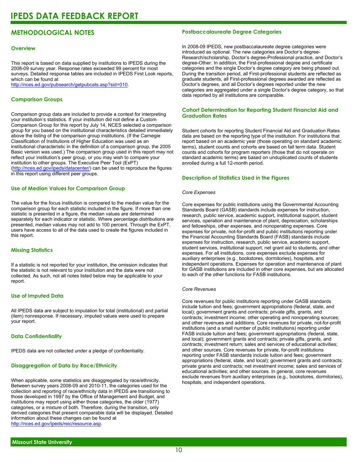### **METHODOLOGICAL NOTES**

#### **Overview**

This report is based on data supplied by institutions to IPEDS during the 2008-09 survey year. Response rates exceeded 99 percent for most surveys. Detailed response tables are included in IPEDS First Look reports, which can be found at [http://nces.ed.gov/pubsearch/getpubcats.asp?sid=010.](http://nces.ed.gov/pubsearch/getpubcats.asp?sid=010)

#### **Comparison Groups**

Comparison group data are included to provide a context for interpreting your institution's statistics. If your institution did not define a Custom Comparison Group for this report by July 14, NCES selected a comparison group for you based on the institutional characteristics detailed immediately above the listing of the comparison group institutions. (If the Carnegie Classification of Institutions of Higher Education was used as an institutional characteristic in the definition of a comparison group, the 2005 Basic version was used.) The comparison group used in this report may not reflect your institution's peer group, or you may wish to compare your institution to other groups. The Executive Peer Tool (ExPT) (<http://nces.ed.gov/ipeds/datacenter/>) can be used to reproduce the figures in this report using different peer groups.

#### **Use of Median Values for Comparison Group**

The value for the focus institution is compared to the median value for the comparison group for each statistic included in the figure. If more than one statistic is presented in a figure, the median values are determined separately for each indicator or statistic. Where percentage distributions are presented, median values may not add to 100 percent. Through the ExPT, users have access to all of the data used to create the figures included in this report.

#### **Missing Statistics**

If a statistic is not reported for your institution, the omission indicates that the statistic is not relevant to your institution and the data were not collected. As such, not all notes listed below may be applicable to your report.

#### **Use of Imputed Data**

All IPEDS data are subject to imputation for total (institutional) and partial (item) nonresponse. If necessary, imputed values were used to prepare your report.

#### **Data Confidentiality**

IPEDS data are not collected under a pledge of confidentiality.

#### **Disaggregation of Data by Race/Ethnicity**

When applicable, some statistics are disaggregated by race/ethnicity. Between survey years 2008-09 and 2010-11, the categories used for the collection and reporting of race/ethnicity data in IPEDS are transitioning to those developed in 1997 by the Office of Management and Budget, and institutions may report using either those categories, the older (1977) categories, or a mixture of both. Therefore, during the transition, only derived categories that present comparable data will be displayed. Detailed information about these changes can be found at <http://nces.ed.gov/ipeds/reic/resource.asp>.

#### **Postbaccalaureate Degree Categories**

In 2008-09 IPEDS, new postbaccalaureate degree categories were introduced as optional. The new categories are Doctor's degree-Research/scholarship, Doctor's degree-Professional practice, and Doctor's degree-Other. In addition, the First-professional degree and certificate categories and the single Doctor's degree category are being phased out. During the transition period, all First-professional students are reflected as graduate students, all First-professional degrees awarded are reflected as Doctor's degrees, and all Doctor's degrees reported under the new categories are aggregated under a single Doctor's degree category, so that data reported by all institutions are comparable.

#### **Cohort Determination for Reporting Student Financial Aid and Graduation Rates**

Student cohorts for reporting Student Financial Aid and Graduation Rates data are based on the reporting type of the institution. For institutions that report based on an academic year (those operating on standard academic terms), student counts and cohorts are based on fall term data. Student counts and cohorts for program reporters (those that do not operate on standard academic terms) are based on unduplicated counts of students enrolled during a full 12-month period.

#### **Description of Statistics Used in the Figures**

#### *Core Expenses*

Core expenses for public institutions using the Governmental Accounting Standards Board (GASB) standards include expenses for instruction, research, public service, academic support, institutional support, student services, operation and maintenance of plant, depreciation, scholarships and fellowships, other expenses, and nonoperating expenses. Core expenses for private, not-for-profit and public institutions reporting under the Financial Accounting Standards Board (FASB) standards include expenses for instruction, research, public service, academic support, student services, institutional support, net grant aid to students, and other expenses. For all institutions, core expenses exclude expenses for auxiliary enterprises (e.g., bookstores, dormitories), hospitals, and independent operations. Expenses for operation and maintenance of plant for GASB institutions are included in other core expenses, but are allocated to each of the other functions for FASB institutions.

#### *Core Revenues*

Core revenues for public institutions reporting under GASB standards include tuition and fees; government appropriations (federal, state, and local); government grants and contracts; private gifts, grants, and contracts; investment income; other operating and nonoperating sources; and other revenues and additions. Core revenues for private, not-for-profit institutions (and a small number of public institutions) reporting under FASB include tuition and fees; government appropriations (federal, state, and local); government grants and contracts; private gifts, grants, and contracts; investment return; sales and services of educational activities; and other sources. Core revenues for private, for-profit institutions reporting under FASB standards include tuition and fees; government appropriations (federal, state, and local); government grants and contracts; private grants and contracts; net investment income; sales and services of educational activities; and other sources. In general, core revenues exclude revenues from auxiliary enterprises (e.g., bookstores, dormitories), hospitals, and independent operations.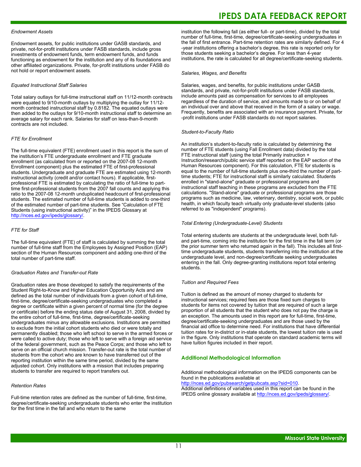#### *Endowment Assets*

Endowment assets, for public institutions under GASB standards, and private, not-for-profit institutions under FASB standards, include gross investments of endowment funds, term endowment funds, and funds functioning as endowment for the institution and any of its foundations and other affiliated organizations. Private, for-profit institutions under FASB do not hold or report endowment assets.

#### *Equated Instructional Staff Salaries*

Total salary outlays for full-time instructional staff on 11/12-month contracts were equated to 9/10-month outlays by multiplying the outlay for 11/12 month contracted instructional staff by 0.8182. The equated outlays were then added to the outlays for 9/10-month instructional staff to determine an average salary for each rank. Salaries for staff on less-than-9-month contracts are not included.

#### *FTE for Enrollment*

The full-time equivalent (FTE) enrollment used in this report is the sum of the institution's FTE undergraduate enrollment and FTE graduate enrollment (as calculated from or reported on the 2007-08 12-month Enrollment component) plus the estimated FTE of first-professional students. Undergraduate and graduate FTE are estimated using 12-month instructional activity (credit and/or contact hours). If applicable, firstprofessional FTE is estimated by calculating the ratio of full-time to parttime first-professional students from the 2007 fall counts and applying this ratio to the 2007-08 12-month unduplicated headcount of first-professional students. The estimated number of full-time students is added to one-third of the estimated number of part-time students. See "Calculation of FTE Students (using instructional activity)" in the IPEDS Glossary at <http://nces.ed.gov/ipeds/glossary/>.

#### *FTE for Staff*

The full-time equivalent (FTE) of staff is calculated by summing the total number of full-time staff from the Employees by Assigned Position (EAP) section of the Human Resources component and adding one-third of the total number of part-time staff.

#### *Graduation Rates and Transfer-out Rate*

Graduation rates are those developed to satisfy the requirements of the Student Right-to-Know and Higher Education Opportunity Acts and are defined as the total number of individuals from a given cohort of full-time, first-time, degree/certificate-seeking undergraduates who completed a degree or certificate within a given percent of normal time (for the degree or certificate) before the ending status date of August 31, 2008, divided by the entire cohort of full-time, first-time, degree/certificate-seeking undergraduates minus any allowable exclusions. Institutions are permitted to exclude from the initial cohort students who died or were totally and permanently disabled; those who left school to serve in the armed forces or were called to active duty; those who left to serve with a foreign aid service of the federal government, such as the Peace Corps; and those who left to serve on an official church mission. Transfer-out rate is the total number of students from the cohort who are known to have transferred out of the reporting institution within the same time period, divided by the same adjusted cohort. Only institutions with a mission that includes preparing students to transfer are required to report transfers out.

#### *Retention Rates*

Full-time retention rates are defined as the number of full-time, first-time, degree/certificate-seeking undergraduate students who enter the institution for the first time in the fall and who return to the same

### **IPEDS DATA FEEDBACK REPORT**

institution the following fall (as either full- or part-time), divided by the total number of full-time, first-time, degree/certificate-seeking undergraduates in the fall of first entrance. Part-time retention rates are similarly defined. For 4 -year institutions offering a bachelor's degree, this rate is reported only for those students seeking a bachelor's degree. For less than 4-year institutions, the rate is calculated for all degree/certificate-seeking students.

#### *Salaries, Wages, and Benefits*

Salaries, wages, and benefits, for public institutions under GASB standards, and private, not-for-profit institutions under FASB standards, include amounts paid as compensation for services to all employees regardless of the duration of service, and amounts made to or on behalf of an individual over and above that received in the form of a salary or wage. Frequently, benefits are associated with an insurance payment. Private, for -profit institutions under FASB standards do not report salaries.

#### *Student-to-Faculty Ratio*

An institution's student-to-faculty ratio is calculated by determining the number of FTE students (using Fall Enrollment data) divided by the total FTE instructional staff (using the total Primarily instruction + Instruction/research/public service staff reported on the EAP section of the Human Resources component). For this calculation, FTE for students is equal to the number of full-time students plus one-third the number of parttime students; FTE for instructional staff is similarly calculated. Students enrolled in "stand-alone" graduate or professional programs and instructional staff teaching in these programs are excluded from the FTE calculations. "Stand-alone" graduate or professional programs are those programs such as medicine, law, veterinary, dentistry, social work, or public health, in which faculty teach virtually only graduate-level students (also referred to as "independent" programs).

#### *Total Entering (Undergraduate-Level) Students*

Total entering students are students at the undergraduate level, both fulland part-time, coming into the institution for the first time in the fall term (or the prior summer term who returned again in the fall). This includes all firsttime undergraduate students, students transferring into the institution at the undergraduate level, and non-degree/certificate seeking undergraduates entering in the fall. Only degree-granting institutions report total entering students.

#### *Tuition and Required Fees*

Tuition is defined as the amount of money charged to students for instructional services; required fees are those fixed sum charges to students for items not covered by tuition that are required of such a large proportion of all students that the student who does not pay the charge is an exception. The amounts used in this report are for full-time, first-time, degree/certificate-seeking undergraduates and are those used by the financial aid office to determine need. For institutions that have differential tuition rates for in-district or in-state students, the lowest tuition rate is used in the figure. Only institutions that operate on standard academic terms will have tuition figures included in their report.

#### **Additional Methodological Information**

Additional methodological information on the IPEDS components can be found in the publications available at <http://nces.ed.gov/pubsearch/getpubcats.asp?sid=010>.

Additional definitions of variables used in this report can be found in the IPEDS online glossary available at <http://nces.ed.gov/ipeds/glossary/>.